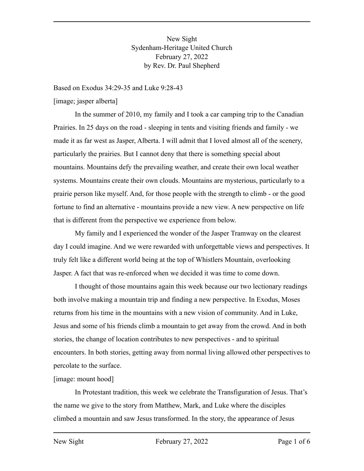New Sight Sydenham-Heritage United Church February 27, 2022 by Rev. Dr. Paul Shepherd

Based on Exodus 34:29-35 and Luke 9:28-43

[image; jasper alberta]

In the summer of 2010, my family and I took a car camping trip to the Canadian Prairies. In 25 days on the road - sleeping in tents and visiting friends and family - we made it as far west as Jasper, Alberta. I will admit that I loved almost all of the scenery, particularly the prairies. But I cannot deny that there is something special about mountains. Mountains defy the prevailing weather, and create their own local weather systems. Mountains create their own clouds. Mountains are mysterious, particularly to a prairie person like myself. And, for those people with the strength to climb - or the good fortune to find an alternative - mountains provide a new view. A new perspective on life that is different from the perspective we experience from below.

My family and I experienced the wonder of the Jasper Tramway on the clearest day I could imagine. And we were rewarded with unforgettable views and perspectives. It truly felt like a different world being at the top of Whistlers Mountain, overlooking Jasper. A fact that was re-enforced when we decided it was time to come down.

I thought of those mountains again this week because our two lectionary readings both involve making a mountain trip and finding a new perspective. In Exodus, Moses returns from his time in the mountains with a new vision of community. And in Luke, Jesus and some of his friends climb a mountain to get away from the crowd. And in both stories, the change of location contributes to new perspectives - and to spiritual encounters. In both stories, getting away from normal living allowed other perspectives to percolate to the surface.

## [image: mount hood]

In Protestant tradition, this week we celebrate the Transfiguration of Jesus. That's the name we give to the story from Matthew, Mark, and Luke where the disciples climbed a mountain and saw Jesus transformed. In the story, the appearance of Jesus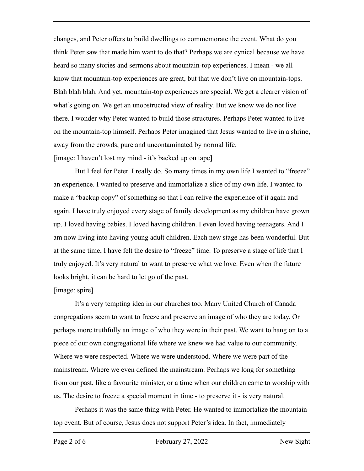changes, and Peter offers to build dwellings to commemorate the event. What do you think Peter saw that made him want to do that? Perhaps we are cynical because we have heard so many stories and sermons about mountain-top experiences. I mean - we all know that mountain-top experiences are great, but that we don't live on mountain-tops. Blah blah blah. And yet, mountain-top experiences are special. We get a clearer vision of what's going on. We get an unobstructed view of reality. But we know we do not live there. I wonder why Peter wanted to build those structures. Perhaps Peter wanted to live on the mountain-top himself. Perhaps Peter imagined that Jesus wanted to live in a shrine, away from the crowds, pure and uncontaminated by normal life. [image: I haven't lost my mind - it's backed up on tape]

But I feel for Peter. I really do. So many times in my own life I wanted to "freeze" an experience. I wanted to preserve and immortalize a slice of my own life. I wanted to make a "backup copy" of something so that I can relive the experience of it again and again. I have truly enjoyed every stage of family development as my children have grown up. I loved having babies. I loved having children. I even loved having teenagers. And I am now living into having young adult children. Each new stage has been wonderful. But at the same time, I have felt the desire to "freeze" time. To preserve a stage of life that I truly enjoyed. It's very natural to want to preserve what we love. Even when the future looks bright, it can be hard to let go of the past.

## [image: spire]

It's a very tempting idea in our churches too. Many United Church of Canada congregations seem to want to freeze and preserve an image of who they are today. Or perhaps more truthfully an image of who they were in their past. We want to hang on to a piece of our own congregational life where we knew we had value to our community. Where we were respected. Where we were understood. Where we were part of the mainstream. Where we even defined the mainstream. Perhaps we long for something from our past, like a favourite minister, or a time when our children came to worship with us. The desire to freeze a special moment in time - to preserve it - is very natural.

Perhaps it was the same thing with Peter. He wanted to immortalize the mountain top event. But of course, Jesus does not support Peter's idea. In fact, immediately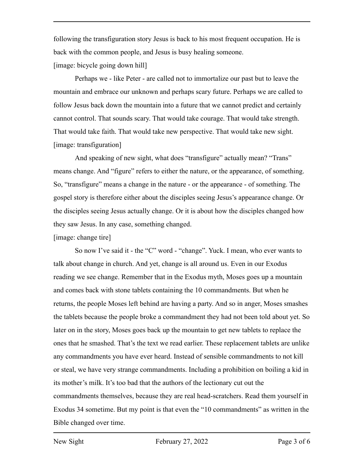following the transfiguration story Jesus is back to his most frequent occupation. He is back with the common people, and Jesus is busy healing someone. [image: bicycle going down hill]

Perhaps we - like Peter - are called not to immortalize our past but to leave the mountain and embrace our unknown and perhaps scary future. Perhaps we are called to follow Jesus back down the mountain into a future that we cannot predict and certainly cannot control. That sounds scary. That would take courage. That would take strength. That would take faith. That would take new perspective. That would take new sight. [image: transfiguration]

And speaking of new sight, what does "transfigure" actually mean? "Trans" means change. And "figure" refers to either the nature, or the appearance, of something. So, "transfigure" means a change in the nature - or the appearance - of something. The gospel story is therefore either about the disciples seeing Jesus's appearance change. Or the disciples seeing Jesus actually change. Or it is about how the disciples changed how they saw Jesus. In any case, something changed.

[image: change tire]

So now I've said it - the "C" word - "change". Yuck. I mean, who ever wants to talk about change in church. And yet, change is all around us. Even in our Exodus reading we see change. Remember that in the Exodus myth, Moses goes up a mountain and comes back with stone tablets containing the 10 commandments. But when he returns, the people Moses left behind are having a party. And so in anger, Moses smashes the tablets because the people broke a commandment they had not been told about yet. So later on in the story, Moses goes back up the mountain to get new tablets to replace the ones that he smashed. That's the text we read earlier. These replacement tablets are unlike any commandments you have ever heard. Instead of sensible commandments to not kill or steal, we have very strange commandments. Including a prohibition on boiling a kid in its mother's milk. It's too bad that the authors of the lectionary cut out the commandments themselves, because they are real head-scratchers. Read them yourself in Exodus 34 sometime. But my point is that even the "10 commandments" as written in the Bible changed over time.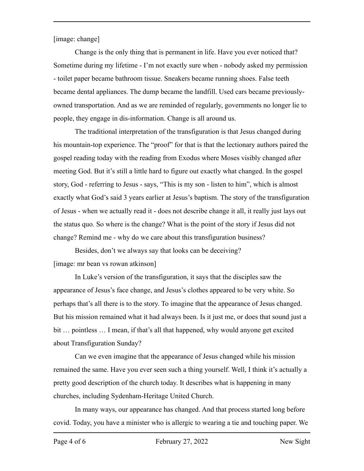[image: change]

Change is the only thing that is permanent in life. Have you ever noticed that? Sometime during my lifetime - I'm not exactly sure when - nobody asked my permission - toilet paper became bathroom tissue. Sneakers became running shoes. False teeth became dental appliances. The dump became the landfill. Used cars became previouslyowned transportation. And as we are reminded of regularly, governments no longer lie to people, they engage in dis-information. Change is all around us.

The traditional interpretation of the transfiguration is that Jesus changed during his mountain-top experience. The "proof" for that is that the lectionary authors paired the gospel reading today with the reading from Exodus where Moses visibly changed after meeting God. But it's still a little hard to figure out exactly what changed. In the gospel story, God - referring to Jesus - says, "This is my son - listen to him", which is almost exactly what God's said 3 years earlier at Jesus's baptism. The story of the transfiguration of Jesus - when we actually read it - does not describe change it all, it really just lays out the status quo. So where is the change? What is the point of the story if Jesus did not change? Remind me - why do we care about this transfiguration business?

Besides, don't we always say that looks can be deceiving? [image: mr bean vs rowan atkinson]

In Luke's version of the transfiguration, it says that the disciples saw the appearance of Jesus's face change, and Jesus's clothes appeared to be very white. So perhaps that's all there is to the story. To imagine that the appearance of Jesus changed. But his mission remained what it had always been. Is it just me, or does that sound just a bit … pointless … I mean, if that's all that happened, why would anyone get excited about Transfiguration Sunday?

Can we even imagine that the appearance of Jesus changed while his mission remained the same. Have you ever seen such a thing yourself. Well, I think it's actually a pretty good description of the church today. It describes what is happening in many churches, including Sydenham-Heritage United Church.

In many ways, our appearance has changed. And that process started long before covid. Today, you have a minister who is allergic to wearing a tie and touching paper. We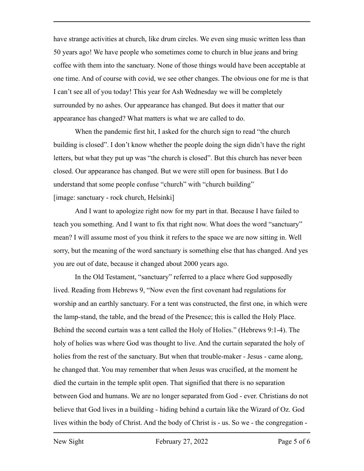have strange activities at church, like drum circles. We even sing music written less than 50 years ago! We have people who sometimes come to church in blue jeans and bring coffee with them into the sanctuary. None of those things would have been acceptable at one time. And of course with covid, we see other changes. The obvious one for me is that I can't see all of you today! This year for Ash Wednesday we will be completely surrounded by no ashes. Our appearance has changed. But does it matter that our appearance has changed? What matters is what we are called to do.

When the pandemic first hit, I asked for the church sign to read "the church" building is closed". I don't know whether the people doing the sign didn't have the right letters, but what they put up was "the church is closed". But this church has never been closed. Our appearance has changed. But we were still open for business. But I do understand that some people confuse "church" with "church building" [image: sanctuary - rock church, Helsinki]

And I want to apologize right now for my part in that. Because I have failed to teach you something. And I want to fix that right now. What does the word "sanctuary" mean? I will assume most of you think it refers to the space we are now sitting in. Well sorry, but the meaning of the word sanctuary is something else that has changed. And yes you are out of date, because it changed about 2000 years ago.

In the Old Testament, "sanctuary" referred to a place where God supposedly lived. Reading from Hebrews 9, "Now even the first covenant had regulations for worship and an earthly sanctuary. For a tent was constructed, the first one, in which were the lamp-stand, the table, and the bread of the Presence; this is called the Holy Place. Behind the second curtain was a tent called the Holy of Holies." (Hebrews 9:1-4). The holy of holies was where God was thought to live. And the curtain separated the holy of holies from the rest of the sanctuary. But when that trouble-maker - Jesus - came along, he changed that. You may remember that when Jesus was crucified, at the moment he died the curtain in the temple split open. That signified that there is no separation between God and humans. We are no longer separated from God - ever. Christians do not believe that God lives in a building - hiding behind a curtain like the Wizard of Oz. God lives within the body of Christ. And the body of Christ is - us. So we - the congregation -